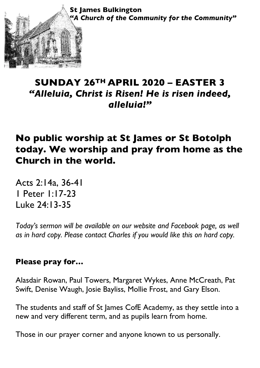**St James Bulkington** *"A Church of the Community for the Community"*

## **SUNDAY 26TH APRIL 2020 – EASTER 3** *"Alleluia, Christ is Risen! He is risen indeed, alleluia!"*

# **No public worship at St James or St Botolph today. We worship and pray from home as the Church in the world.**

Acts 2:14a, 36-41 1 Peter 1:17-23 Luke 24:13-35

®®

*Today's sermon will be available on our website and Facebook page, as well as in hard copy. Please contact Charles if you would like this on hard copy.*

#### **Please pray for…**

Alasdair Rowan, Paul Towers, Margaret Wykes, Anne McCreath, Pat Swift, Denise Waugh, Josie Bayliss, Mollie Frost, and Gary Elson.

The students and staff of St James CofE Academy, as they settle into a new and very different term, and as pupils learn from home.

Those in our prayer corner and anyone known to us personally.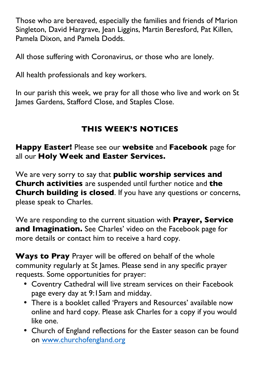Those who are bereaved, especially the families and friends of Marion Singleton, David Hargrave, Jean Liggins, Martin Beresford, Pat Killen, Pamela Dixon, and Pamela Dodds.

All those suffering with Coronavirus, or those who are lonely.

All health professionals and key workers.

In our parish this week, we pray for all those who live and work on St James Gardens, Stafford Close, and Staples Close.

### **THIS WEEK'S NOTICES**

**Happy Easter!** Please see our **website** and **Facebook** page for all our **Holy Week and Easter Services.**

We are very sorry to say that **public worship services and Church activities** are suspended until further notice and **the Church building is closed**. If you have any questions or concerns, please speak to Charles.

We are responding to the current situation with **Prayer, Service and Imagination.** See Charles' video on the Facebook page for more details or contact him to receive a hard copy.

**Ways to Pray** Prayer will be offered on behalf of the whole community regularly at St James. Please send in any specific prayer requests. Some opportunities for prayer:

- Coventry Cathedral will live stream services on their Facebook page every day at 9:15am and midday.
- There is a booklet called 'Prayers and Resources' available now online and hard copy. Please ask Charles for a copy if you would like one.
- Church of England reflections for the Easter season can be found on www.churchofengland.org